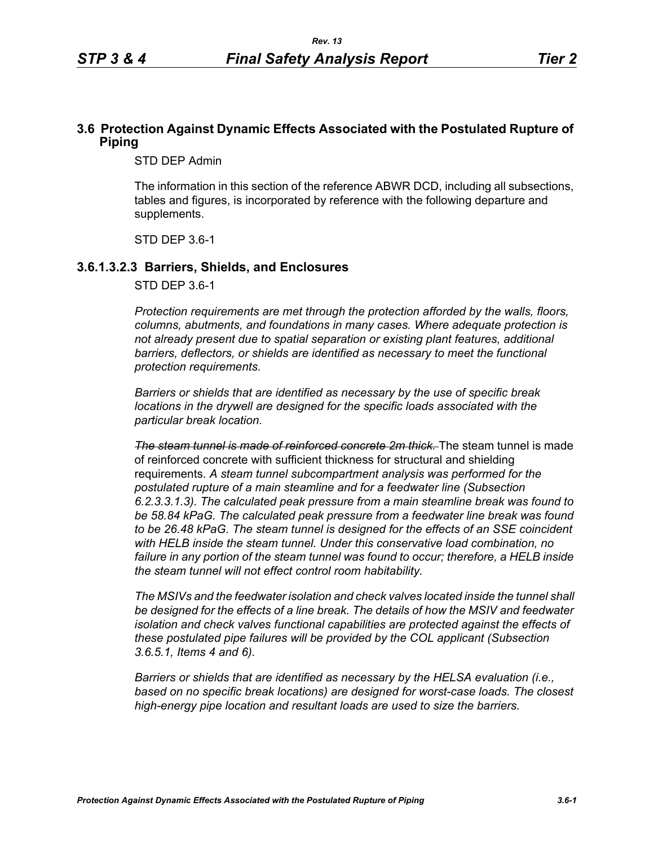### **3.6 Protection Against Dynamic Effects Associated with the Postulated Rupture of Piping**

STD DEP Admin

The information in this section of the reference ABWR DCD, including all subsections, tables and figures, is incorporated by reference with the following departure and supplements.

STD DEP 3.6-1

#### **3.6.1.3.2.3 Barriers, Shields, and Enclosures**

STD DEP 3.6-1

*Protection requirements are met through the protection afforded by the walls, floors, columns, abutments, and foundations in many cases. Where adequate protection is not already present due to spatial separation or existing plant features, additional*  barriers, deflectors, or shields are identified as necessary to meet the functional *protection requirements.*

*Barriers or shields that are identified as necessary by the use of specific break locations in the drywell are designed for the specific loads associated with the particular break location.*

*The steam tunnel is made of reinforced concrete 2m thick.* The steam tunnel is made of reinforced concrete with sufficient thickness for structural and shielding requirements. *A steam tunnel subcompartment analysis was performed for the postulated rupture of a main steamline and for a feedwater line (Subsection 6.2.3.3.1.3). The calculated peak pressure from a main steamline break was found to be 58.84 kPaG. The calculated peak pressure from a feedwater line break was found to be 26.48 kPaG. The steam tunnel is designed for the effects of an SSE coincident with HELB inside the steam tunnel. Under this conservative load combination, no failure in any portion of the steam tunnel was found to occur; therefore, a HELB inside the steam tunnel will not effect control room habitability.*

*The MSIVs and the feedwater isolation and check valves located inside the tunnel shall be designed for the effects of a line break. The details of how the MSIV and feedwater isolation and check valves functional capabilities are protected against the effects of these postulated pipe failures will be provided by the COL applicant (Subsection 3.6.5.1, Items 4 and 6).*

*Barriers or shields that are identified as necessary by the HELSA evaluation (i.e., based on no specific break locations) are designed for worst-case loads. The closest high-energy pipe location and resultant loads are used to size the barriers.*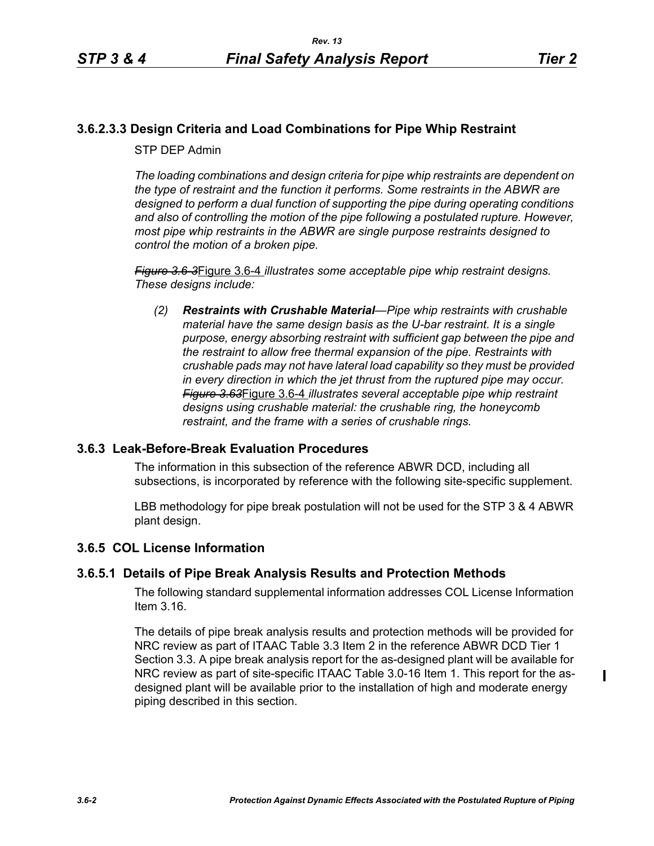$\mathbf I$ 

# **3.6.2.3.3 Design Criteria and Load Combinations for Pipe Whip Restraint**

STP DEP Admin

*The loading combinations and design criteria for pipe whip restraints are dependent on the type of restraint and the function it performs. Some restraints in the ABWR are designed to perform a dual function of supporting the pipe during operating conditions and also of controlling the motion of the pipe following a postulated rupture. However, most pipe whip restraints in the ABWR are single purpose restraints designed to control the motion of a broken pipe.*

*Figure 3.6-3*Figure 3.6-4 *illustrates some acceptable pipe whip restraint designs. These designs include:*

*(2) Restraints with Crushable Material—Pipe whip restraints with crushable material have the same design basis as the U-bar restraint. It is a single purpose, energy absorbing restraint with sufficient gap between the pipe and the restraint to allow free thermal expansion of the pipe. Restraints with crushable pads may not have lateral load capability so they must be provided in every direction in which the jet thrust from the ruptured pipe may occur. Figure 3.63*Figure 3.6-4 *illustrates several acceptable pipe whip restraint designs using crushable material: the crushable ring, the honeycomb restraint, and the frame with a series of crushable rings.*

## **3.6.3 Leak-Before-Break Evaluation Procedures**

The information in this subsection of the reference ABWR DCD, including all subsections, is incorporated by reference with the following site-specific supplement.

LBB methodology for pipe break postulation will not be used for the STP 3 & 4 ABWR plant design.

## **3.6.5 COL License Information**

## **3.6.5.1 Details of Pipe Break Analysis Results and Protection Methods**

The following standard supplemental information addresses COL License Information Item 3.16.

The details of pipe break analysis results and protection methods will be provided for NRC review as part of ITAAC Table 3.3 Item 2 in the reference ABWR DCD Tier 1 Section 3.3. A pipe break analysis report for the as-designed plant will be available for NRC review as part of site-specific ITAAC Table 3.0-16 Item 1. This report for the asdesigned plant will be available prior to the installation of high and moderate energy piping described in this section.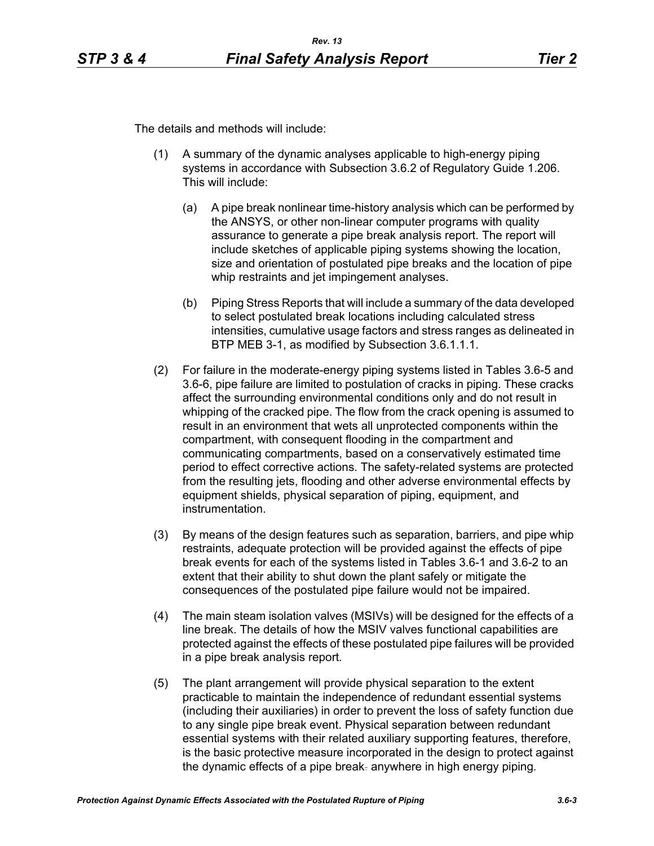The details and methods will include:

- (1) A summary of the dynamic analyses applicable to high-energy piping systems in accordance with Subsection 3.6.2 of Regulatory Guide 1.206. This will include:
	- (a) A pipe break nonlinear time-history analysis which can be performed by the ANSYS, or other non-linear computer programs with quality assurance to generate a pipe break analysis report. The report will include sketches of applicable piping systems showing the location, size and orientation of postulated pipe breaks and the location of pipe whip restraints and jet impingement analyses.
	- (b) Piping Stress Reports that will include a summary of the data developed to select postulated break locations including calculated stress intensities, cumulative usage factors and stress ranges as delineated in BTP MEB 3-1, as modified by Subsection 3.6.1.1.1.
- (2) For failure in the moderate-energy piping systems listed in Tables 3.6-5 and 3.6-6, pipe failure are limited to postulation of cracks in piping. These cracks affect the surrounding environmental conditions only and do not result in whipping of the cracked pipe. The flow from the crack opening is assumed to result in an environment that wets all unprotected components within the compartment, with consequent flooding in the compartment and communicating compartments, based on a conservatively estimated time period to effect corrective actions. The safety-related systems are protected from the resulting jets, flooding and other adverse environmental effects by equipment shields, physical separation of piping, equipment, and instrumentation.
- (3) By means of the design features such as separation, barriers, and pipe whip restraints, adequate protection will be provided against the effects of pipe break events for each of the systems listed in Tables 3.6-1 and 3.6-2 to an extent that their ability to shut down the plant safely or mitigate the consequences of the postulated pipe failure would not be impaired.
- (4) The main steam isolation valves (MSIVs) will be designed for the effects of a line break. The details of how the MSIV valves functional capabilities are protected against the effects of these postulated pipe failures will be provided in a pipe break analysis report*.*
- (5) The plant arrangement will provide physical separation to the extent practicable to maintain the independence of redundant essential systems (including their auxiliaries) in order to prevent the loss of safety function due to any single pipe break event. Physical separation between redundant essential systems with their related auxiliary supporting features, therefore, is the basic protective measure incorporated in the design to protect against the dynamic effects of a pipe break. anywhere in high energy piping*.*